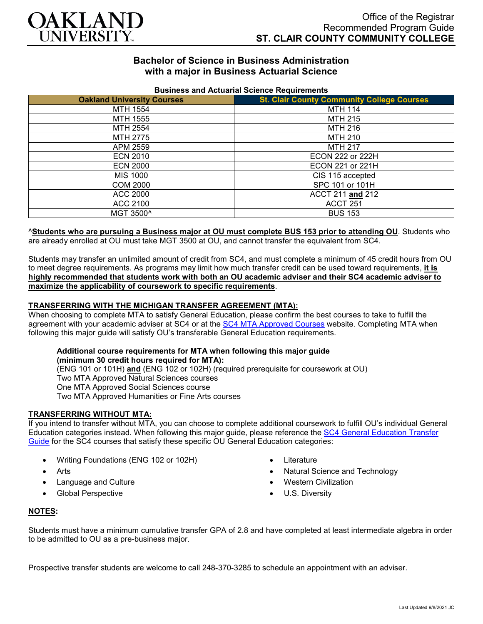

# **Bachelor of Science in Business Administration with a major in Business Actuarial Science**

| <u>Pasincos ana Actuanai Ocionoc Itoquilonicho</u> |                                                   |
|----------------------------------------------------|---------------------------------------------------|
| <b>Oakland University Courses</b>                  | <b>St. Clair County Community College Courses</b> |
| MTH 1554                                           | <b>MTH 114</b>                                    |
| MTH 1555                                           | <b>MTH 215</b>                                    |
| MTH 2554                                           | MTH 216                                           |
| MTH 2775                                           | <b>MTH 210</b>                                    |
| APM 2559                                           | <b>MTH 217</b>                                    |
| <b>ECN 2010</b>                                    | <b>ECON 222 or 222H</b>                           |
| <b>ECN 2000</b>                                    | ECON 221 or 221H                                  |
| MIS 1000                                           | CIS 115 accepted                                  |
| <b>COM 2000</b>                                    | SPC 101 or 101H                                   |
| ACC 2000                                           | ACCT 211 and 212                                  |
| ACC 2100                                           | ACCT <sub>251</sub>                               |
| MGT 3500^                                          | <b>BUS 153</b>                                    |

#### **Business and Actuarial Science Requirements**

# ^**Students who are pursuing a Business major at OU must complete BUS 153 prior to attending OU**. Students who

are already enrolled at OU must take MGT 3500 at OU, and cannot transfer the equivalent from SC4.

Students may transfer an unlimited amount of credit from SC4, and must complete a minimum of 45 credit hours from OU to meet degree requirements. As programs may limit how much transfer credit can be used toward requirements, **it is highly recommended that students work with both an OU academic adviser and their SC4 academic adviser to maximize the applicability of coursework to specific requirements**.

### **TRANSFERRING WITH THE MICHIGAN TRANSFER AGREEMENT (MTA):**

When choosing to complete MTA to satisfy General Education, please confirm the best courses to take to fulfill the agreement with your academic adviser at SC4 or at the [SC4 MTA Approved Courses](https://sc4.edu/admissions/transferring-after-sc4/michigan-transfer-agreement/) website. Completing MTA when following this major guide will satisfy OU's transferable General Education requirements.

## **Additional course requirements for MTA when following this major guide**

**(minimum 30 credit hours required for MTA):** (ENG 101 or 101H) **and** (ENG 102 or 102H) (required prerequisite for coursework at OU) Two MTA Approved Natural Sciences courses One MTA Approved Social Sciences course Two MTA Approved Humanities or Fine Arts courses

#### **TRANSFERRING WITHOUT MTA:**

If you intend to transfer without MTA, you can choose to complete additional coursework to fulfill OU's individual General Education categories instead. When following this major guide, please reference the [SC4 General Education Transfer](https://www.oakland.edu/Assets/Oakland/program-guides/st-clair-county-community-college/university-general-education-requirements/SC4%20Gen%20Ed.pdf)  [Guide](https://www.oakland.edu/Assets/Oakland/program-guides/st-clair-county-community-college/university-general-education-requirements/SC4%20Gen%20Ed.pdf) for the SC4 courses that satisfy these specific OU General Education categories:

- Writing Foundations (ENG 102 or 102H)
- **Arts**
- Language and Culture
- Global Perspective
- **Literature**
- Natural Science and Technology
- Western Civilization
- U.S. Diversity

### **NOTES:**

Students must have a minimum cumulative transfer GPA of 2.8 and have completed at least intermediate algebra in order to be admitted to OU as a pre-business major.

Prospective transfer students are welcome to call 248-370-3285 to schedule an appointment with an adviser.